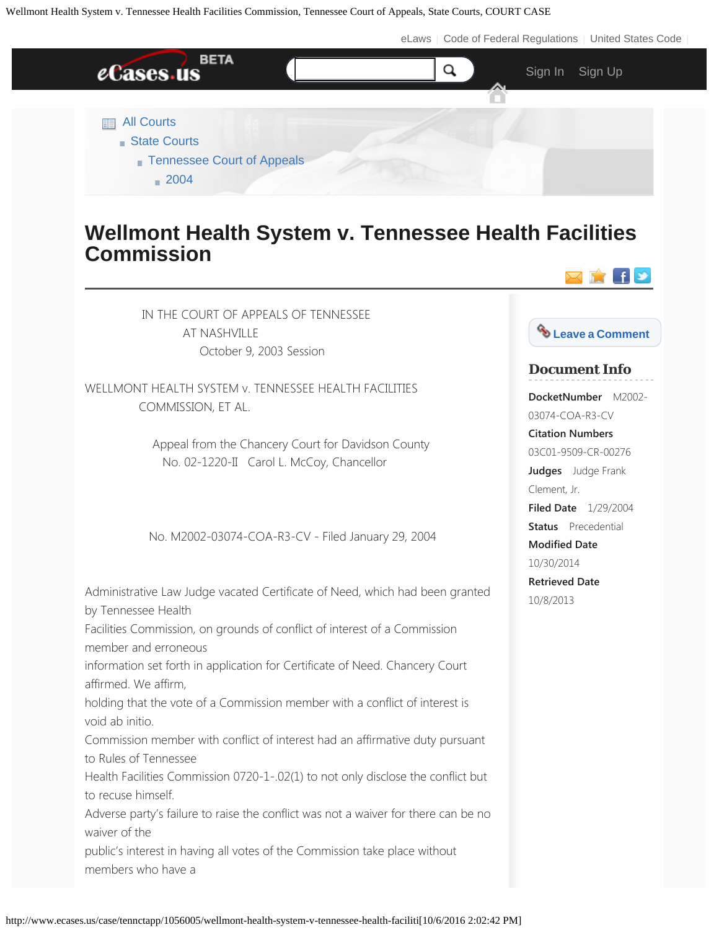[eLaws](http://www.elaws.us/) | [Code of Federal Regulations](http://federal.elaws.us/cfr) | [United States Code](http://uscode.elaws.us/)



## **Wellmont Health System v. Tennessee Health Facilities Commission**

 IN THE COURT OF APPEALS OF TENNESSEE AT NASHVILLE October 9, 2003 Session

WELLMONT HEALTH SYSTEM v. TENNESSEE HEALTH FACILITIES COMMISSION, ET AL.

> Appeal from the Chancery Court for Davidson County No. 02-1220-II Carol L. McCoy, Chancellor

No. M2002-03074-COA-R3-CV - Filed January 29, 2004

Administrative Law Judge vacated Certificate of Need, which had been granted by Tennessee Health

Facilities Commission, on grounds of conflict of interest of a Commission member and erroneous

information set forth in application for Certificate of Need. Chancery Court affirmed. We affirm,

holding that the vote of a Commission member with a conflict of interest is void ab initio.

Commission member with conflict of interest had an affirmative duty pursuant to Rules of Tennessee

Health Facilities Commission 0720-1-.02(1) to not only disclose the conflict but to recuse himself.

Adverse party's failure to raise the conflict was not a waiver for there can be no waiver of the

public's interest in having all votes of the Commission take place without members who have a



⊠☆【♪

# **Document Info**

**DocketNumber** M2002- 03074-COA-R3-CV **Citation Numbers** 03C01-9509-CR-00276 **Judges** Judge Frank Clement, Jr. **Filed Date** 1/29/2004 **Status** Precedential **Modified Date** 10/30/2014 **Retrieved Date** 10/8/2013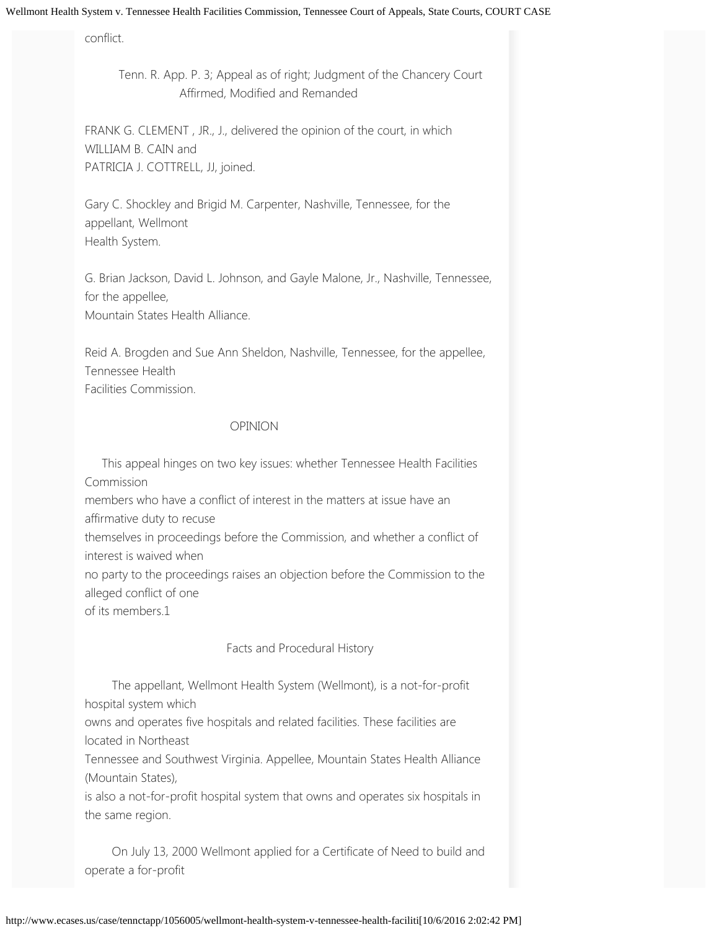conflict.

 Tenn. R. App. P. 3; Appeal as of right; Judgment of the Chancery Court Affirmed, Modified and Remanded

FRANK G. CLEMENT , JR., J., delivered the opinion of the court, in which WILLIAM B. CAIN and PATRICIA J. COTTRELL, JJ, joined.

Gary C. Shockley and Brigid M. Carpenter, Nashville, Tennessee, for the appellant, Wellmont Health System.

G. Brian Jackson, David L. Johnson, and Gayle Malone, Jr., Nashville, Tennessee, for the appellee, Mountain States Health Alliance.

Reid A. Brogden and Sue Ann Sheldon, Nashville, Tennessee, for the appellee, Tennessee Health Facilities Commission.

## OPINION

 This appeal hinges on two key issues: whether Tennessee Health Facilities Commission

members who have a conflict of interest in the matters at issue have an affirmative duty to recuse

themselves in proceedings before the Commission, and whether a conflict of interest is waived when

no party to the proceedings raises an objection before the Commission to the alleged conflict of one

of its members.1

## Facts and Procedural History

 The appellant, Wellmont Health System (Wellmont), is a not-for-profit hospital system which

owns and operates five hospitals and related facilities. These facilities are located in Northeast

Tennessee and Southwest Virginia. Appellee, Mountain States Health Alliance (Mountain States),

is also a not-for-profit hospital system that owns and operates six hospitals in the same region.

 On July 13, 2000 Wellmont applied for a Certificate of Need to build and operate a for-profit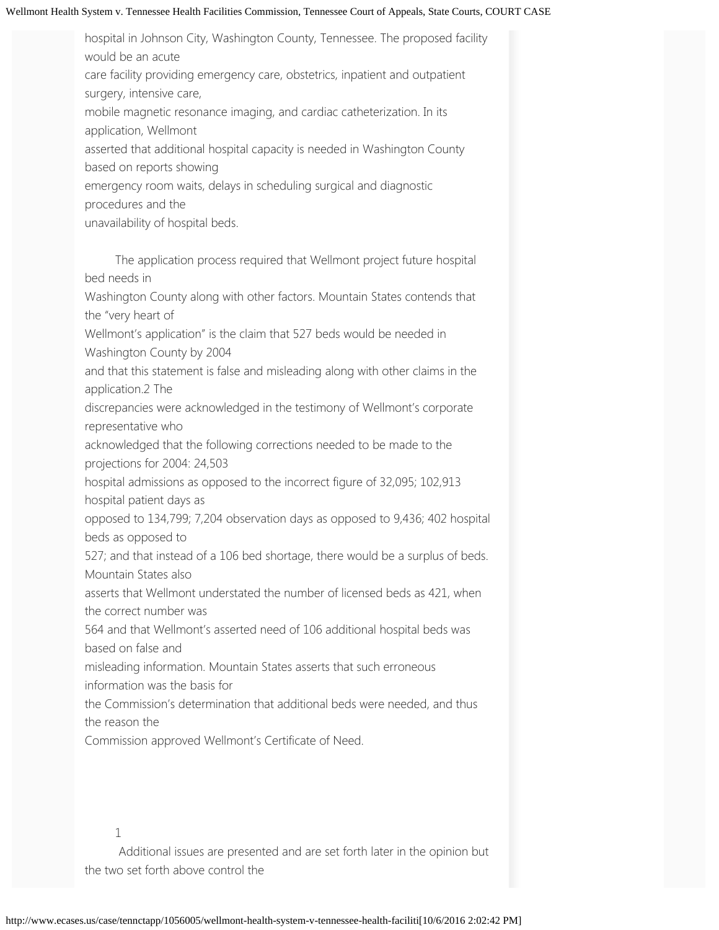hospital in Johnson City, Washington County, Tennessee. The proposed facility would be an acute

care facility providing emergency care, obstetrics, inpatient and outpatient surgery, intensive care,

mobile magnetic resonance imaging, and cardiac catheterization. In its application, Wellmont

asserted that additional hospital capacity is needed in Washington County based on reports showing

emergency room waits, delays in scheduling surgical and diagnostic

procedures and the

unavailability of hospital beds.

 The application process required that Wellmont project future hospital bed needs in

Washington County along with other factors. Mountain States contends that the "very heart of

Wellmont's application" is the claim that 527 beds would be needed in Washington County by 2004

and that this statement is false and misleading along with other claims in the application.2 The

discrepancies were acknowledged in the testimony of Wellmont's corporate representative who

acknowledged that the following corrections needed to be made to the projections for 2004: 24,503

hospital admissions as opposed to the incorrect figure of 32,095; 102,913 hospital patient days as

opposed to 134,799; 7,204 observation days as opposed to 9,436; 402 hospital beds as opposed to

527; and that instead of a 106 bed shortage, there would be a surplus of beds. Mountain States also

asserts that Wellmont understated the number of licensed beds as 421, when the correct number was

564 and that Wellmont's asserted need of 106 additional hospital beds was based on false and

misleading information. Mountain States asserts that such erroneous information was the basis for

the Commission's determination that additional beds were needed, and thus the reason the

Commission approved Wellmont's Certificate of Need.

1

 Additional issues are presented and are set forth later in the opinion but the two set forth above control the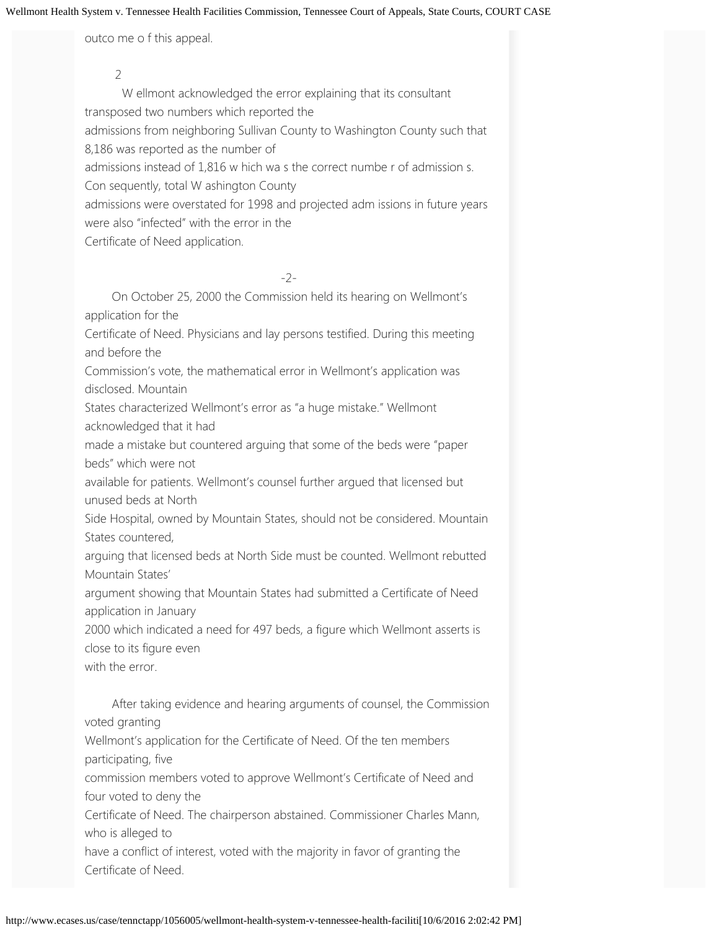outco me o f this appeal.

 2 W ellmont acknowledged the error explaining that its consultant transposed two numbers which reported the admissions from neighboring Sullivan County to Washington County such that 8,186 was reported as the number of admissions instead of 1,816 w hich wa s the correct numbe r of admission s. Con sequently, total W ashington County admissions were overstated for 1998 and projected adm issions in future years were also "infected" with the error in the Certificate of Need application.

-2-

 On October 25, 2000 the Commission held its hearing on Wellmont's application for the Certificate of Need. Physicians and lay persons testified. During this meeting and before the

Commission's vote, the mathematical error in Wellmont's application was disclosed. Mountain

States characterized Wellmont's error as "a huge mistake." Wellmont acknowledged that it had

made a mistake but countered arguing that some of the beds were "paper beds" which were not

available for patients. Wellmont's counsel further argued that licensed but unused beds at North

Side Hospital, owned by Mountain States, should not be considered. Mountain States countered,

arguing that licensed beds at North Side must be counted. Wellmont rebutted Mountain States'

argument showing that Mountain States had submitted a Certificate of Need application in January

2000 which indicated a need for 497 beds, a figure which Wellmont asserts is close to its figure even

with the error.

 After taking evidence and hearing arguments of counsel, the Commission voted granting

Wellmont's application for the Certificate of Need. Of the ten members participating, five

commission members voted to approve Wellmont's Certificate of Need and four voted to deny the

Certificate of Need. The chairperson abstained. Commissioner Charles Mann, who is alleged to

have a conflict of interest, voted with the majority in favor of granting the Certificate of Need.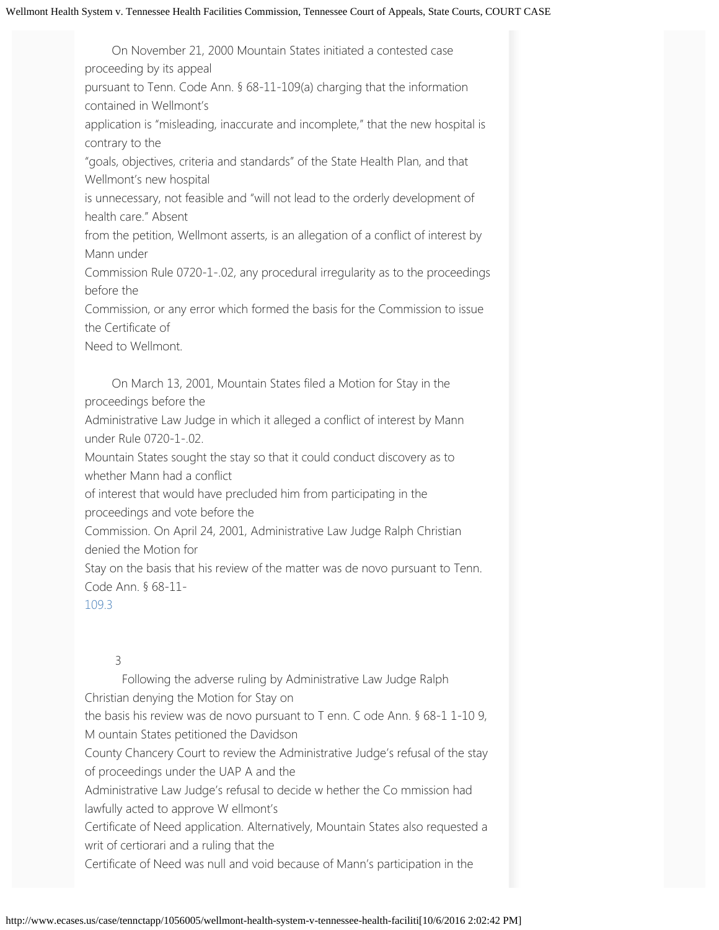On November 21, 2000 Mountain States initiated a contested case proceeding by its appeal pursuant to Tenn. Code Ann. § 68-11-109(a) charging that the information contained in Wellmont's application is "misleading, inaccurate and incomplete," that the new hospital is contrary to the "goals, objectives, criteria and standards" of the State Health Plan, and that Wellmont's new hospital is unnecessary, not feasible and "will not lead to the orderly development of health care." Absent from the petition, Wellmont asserts, is an allegation of a conflict of interest by Mann under Commission Rule 0720-1-.02, any procedural irregularity as to the proceedings before the Commission, or any error which formed the basis for the Commission to issue the Certificate of Need to Wellmont. On March 13, 2001, Mountain States filed a Motion for Stay in the

proceedings before the

Administrative Law Judge in which it alleged a conflict of interest by Mann under Rule 0720-1-.02.

Mountain States sought the stay so that it could conduct discovery as to whether Mann had a conflict

of interest that would have precluded him from participating in the proceedings and vote before the

Commission. On April 24, 2001, Administrative Law Judge Ralph Christian denied the Motion for

Stay on the basis that his review of the matter was de novo pursuant to Tenn. Code Ann. § 68-11-

#### [109.3](http://www.ecases.us/citeit/statutes/109.3)

#### 3

 Following the adverse ruling by Administrative Law Judge Ralph Christian denying the Motion for Stay on the basis his review was de novo pursuant to T enn. C ode Ann. § 68-1 1-10 9, M ountain States petitioned the Davidson County Chancery Court to review the Administrative Judge's refusal of the stay of proceedings under the UAP A and the Administrative Law Judge's refusal to decide w hether the Co mmission had lawfully acted to approve W ellmont's Certificate of Need application. Alternatively, Mountain States also requested a writ of certiorari and a ruling that the Certificate of Need was null and void because of Mann's participation in the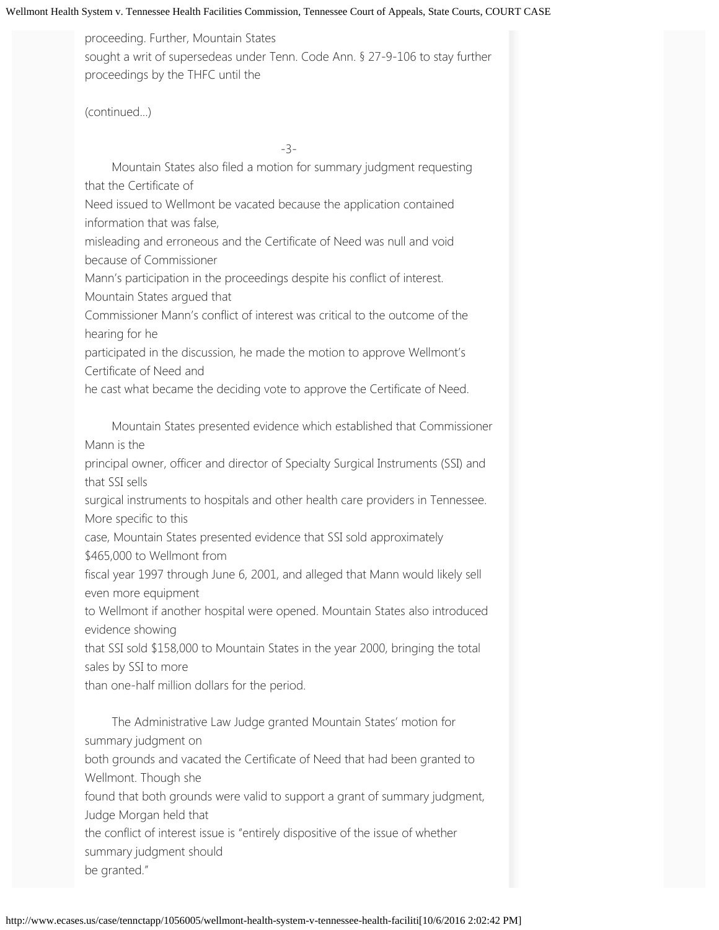proceeding. Further, Mountain States sought a writ of supersedeas under Tenn. Code Ann. § 27-9-106 to stay further proceedings by the THFC until the

(continued...)

-3-

 Mountain States also filed a motion for summary judgment requesting that the Certificate of

Need issued to Wellmont be vacated because the application contained information that was false,

misleading and erroneous and the Certificate of Need was null and void because of Commissioner

Mann's participation in the proceedings despite his conflict of interest. Mountain States argued that

Commissioner Mann's conflict of interest was critical to the outcome of the hearing for he

participated in the discussion, he made the motion to approve Wellmont's Certificate of Need and

he cast what became the deciding vote to approve the Certificate of Need.

 Mountain States presented evidence which established that Commissioner Mann is the

principal owner, officer and director of Specialty Surgical Instruments (SSI) and that SSI sells

surgical instruments to hospitals and other health care providers in Tennessee. More specific to this

case, Mountain States presented evidence that SSI sold approximately \$465,000 to Wellmont from

fiscal year 1997 through June 6, 2001, and alleged that Mann would likely sell even more equipment

to Wellmont if another hospital were opened. Mountain States also introduced evidence showing

that SSI sold \$158,000 to Mountain States in the year 2000, bringing the total sales by SSI to more

than one-half million dollars for the period.

 The Administrative Law Judge granted Mountain States' motion for summary judgment on

both grounds and vacated the Certificate of Need that had been granted to Wellmont. Though she

found that both grounds were valid to support a grant of summary judgment, Judge Morgan held that

the conflict of interest issue is "entirely dispositive of the issue of whether summary judgment should

be granted."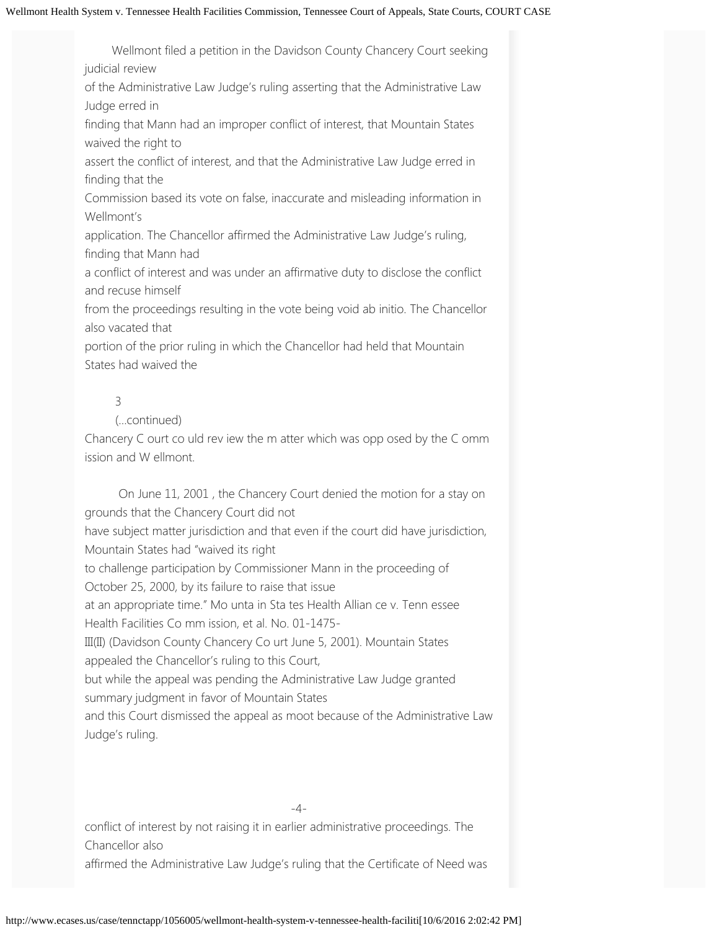Wellmont filed a petition in the Davidson County Chancery Court seeking judicial review

of the Administrative Law Judge's ruling asserting that the Administrative Law Judge erred in

finding that Mann had an improper conflict of interest, that Mountain States waived the right to

assert the conflict of interest, and that the Administrative Law Judge erred in finding that the

Commission based its vote on false, inaccurate and misleading information in Wellmont's

application. The Chancellor affirmed the Administrative Law Judge's ruling, finding that Mann had

a conflict of interest and was under an affirmative duty to disclose the conflict and recuse himself

from the proceedings resulting in the vote being void ab initio. The Chancellor also vacated that

portion of the prior ruling in which the Chancellor had held that Mountain States had waived the

## 3

## (...continued)

Chancery C ourt co uld rev iew the m atter which was opp osed by the C omm ission and W ellmont.

 On June 11, 2001 , the Chancery Court denied the motion for a stay on grounds that the Chancery Court did not have subject matter jurisdiction and that even if the court did have jurisdiction, Mountain States had "waived its right to challenge participation by Commissioner Mann in the proceeding of October 25, 2000, by its failure to raise that issue at an appropriate time." Mo unta in Sta tes Health Allian ce v. Tenn essee Health Facilities Co mm ission, et al. No. 01-1475- III(II) (Davidson County Chancery Co urt June 5, 2001). Mountain States appealed the Chancellor's ruling to this Court, but while the appeal was pending the Administrative Law Judge granted summary judgment in favor of Mountain States and this Court dismissed the appeal as moot because of the Administrative Law Judge's ruling.

-4-

conflict of interest by not raising it in earlier administrative proceedings. The Chancellor also

affirmed the Administrative Law Judge's ruling that the Certificate of Need was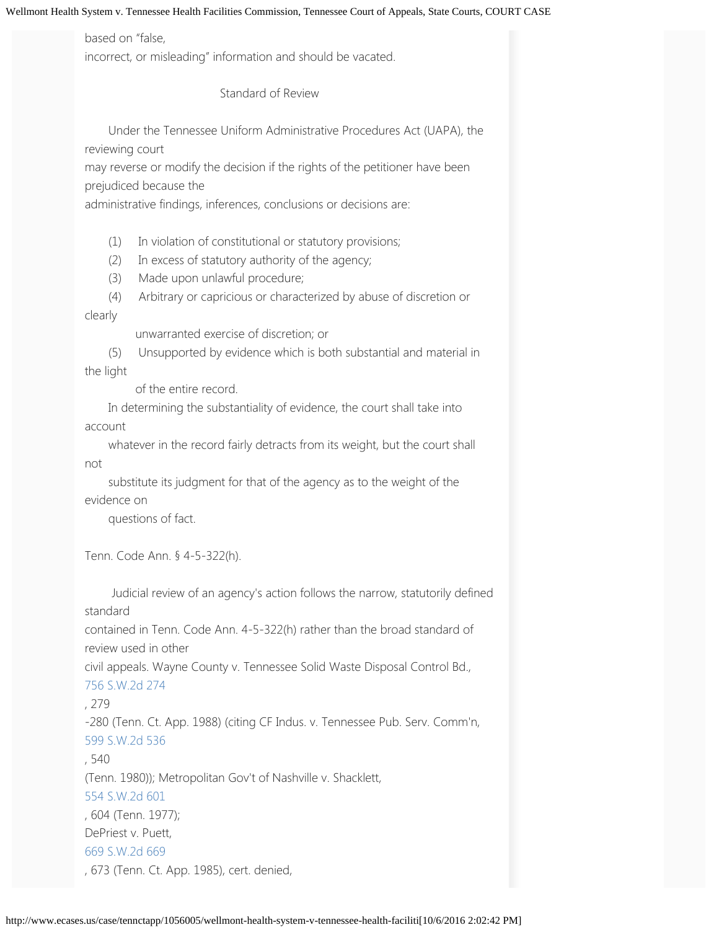## based on "false,

incorrect, or misleading" information and should be vacated.

Standard of Review

 Under the Tennessee Uniform Administrative Procedures Act (UAPA), the reviewing court

may reverse or modify the decision if the rights of the petitioner have been prejudiced because the

administrative findings, inferences, conclusions or decisions are:

(1) In violation of constitutional or statutory provisions;

(2) In excess of statutory authority of the agency;

(3) Made upon unlawful procedure;

 (4) Arbitrary or capricious or characterized by abuse of discretion or clearly

unwarranted exercise of discretion; or

 (5) Unsupported by evidence which is both substantial and material in the light

of the entire record.

 In determining the substantiality of evidence, the court shall take into account

 whatever in the record fairly detracts from its weight, but the court shall not

 substitute its judgment for that of the agency as to the weight of the evidence on

questions of fact.

Tenn. Code Ann. § 4-5-322(h).

 Judicial review of an agency's action follows the narrow, statutorily defined standard

contained in Tenn. Code Ann. 4-5-322(h) rather than the broad standard of review used in other

civil appeals. Wayne County v. Tennessee Solid Waste Disposal Control Bd., [756](http://www.ecases.us/tennctapp/a41v/wayne-cty-v-solid-waste-dis-cont-bd/) [S.W.2d](http://www.ecases.us/tennctapp/a41v/wayne-cty-v-solid-waste-dis-cont-bd/) [274](http://www.ecases.us/tennctapp/a41v/wayne-cty-v-solid-waste-dis-cont-bd/)

## , 279

-280 (Tenn. Ct. App. 1988) (citing CF Indus. v. Tennessee Pub. Serv. Comm'n, [599](http://www.ecases.us/tenn/9mWH/cf-industries-v-tenn-pub-serv-comm/) [S.W.2d](http://www.ecases.us/tenn/9mWH/cf-industries-v-tenn-pub-serv-comm/) [536](http://www.ecases.us/tenn/9mWH/cf-industries-v-tenn-pub-serv-comm/)

## , 540

(Tenn. 1980)); Metropolitan Gov't of Nashville v. Shacklett,

[554](http://www.ecases.us/tenn/8Bqs/metro-govt-of-nashville-etc-v-shacklett/) [S.W.2d](http://www.ecases.us/tenn/8Bqs/metro-govt-of-nashville-etc-v-shacklett/) [601](http://www.ecases.us/tenn/8Bqs/metro-govt-of-nashville-etc-v-shacklett/)

, 604 (Tenn. 1977); DePriest v. Puett, [669](http://www.ecases.us/669S.W.2d669) [S.W.2d](http://www.ecases.us/669S.W.2d669) [669](http://www.ecases.us/669S.W.2d669)

, 673 (Tenn. Ct. App. 1985), cert. denied,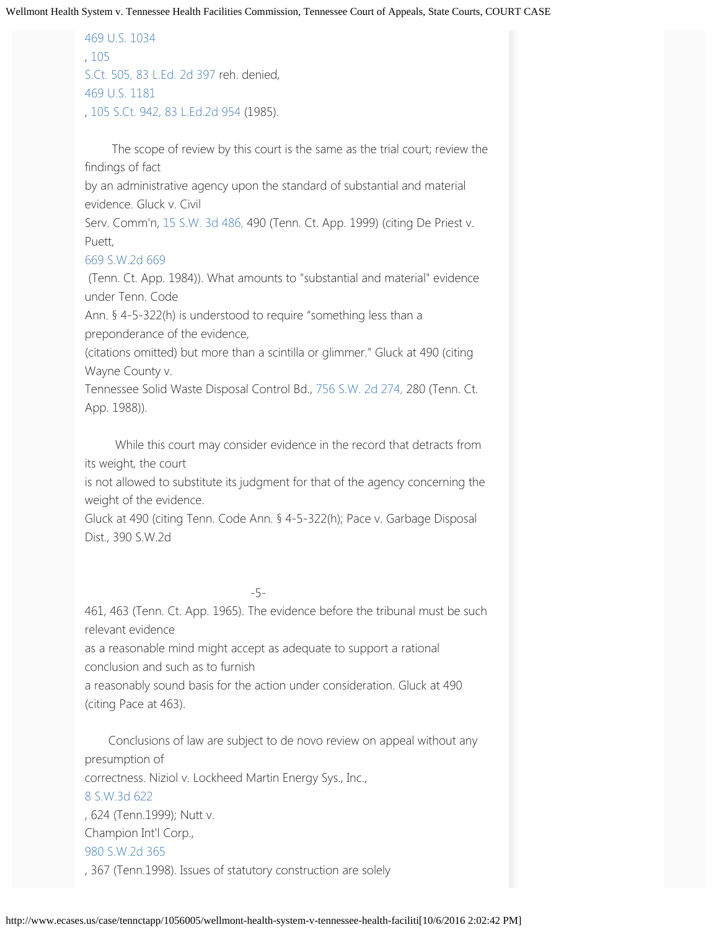[469](http://www.ecases.us/469U.S.1034) [U.S.](http://www.ecases.us/469U.S.1034) [1034](http://www.ecases.us/469U.S.1034) , [105](http://www.ecases.us/105S.Ct.505) [S.Ct. 505,](http://www.ecases.us/105S.Ct.505) [83 L.Ed. 2d 397](http://www.ecases.us/83L.Ed.2d397) reh. denied, [469](http://www.ecases.us/469U.S.1181) [U.S.](http://www.ecases.us/469U.S.1181) [1181](http://www.ecases.us/469U.S.1181) , [105 S.Ct. 942,](http://www.ecases.us/105S.Ct.942) [83 L.Ed.2d 954 \(](http://www.ecases.us/83L.Ed.2d954)1985).

 The scope of review by this court is the same as the trial court; review the findings of fact

by an administrative agency upon the standard of substantial and material evidence. Gluck v. Civil

Serv. Comm'n, [15 S.W. 3d 486,](http://www.ecases.us/15S.W.3d486) 490 (Tenn. Ct. App. 1999) (citing De Priest v. Puett,

#### [669](http://www.ecases.us/669S.W.2d669) [S.W.2d](http://www.ecases.us/669S.W.2d669) [669](http://www.ecases.us/669S.W.2d669)

 (Tenn. Ct. App. 1984)). What amounts to "substantial and material" evidence under Tenn. Code

Ann. § 4-5-322(h) is understood to require "something less than a preponderance of the evidence,

(citations omitted) but more than a scintilla or glimmer." Gluck at 490 (citing Wayne County v.

Tennessee Solid Waste Disposal Control Bd., [756 S.W. 2d 274,](http://www.ecases.us/756S.W.2d274) 280 (Tenn. Ct. App. 1988)).

 While this court may consider evidence in the record that detracts from its weight, the court

is not allowed to substitute its judgment for that of the agency concerning the weight of the evidence.

Gluck at 490 (citing Tenn. Code Ann. § 4-5-322(h); Pace v. Garbage Disposal Dist., 390 S.W.2d

— <u>5</u>— — — — — — — — 5

461, 463 (Tenn. Ct. App. 1965). The evidence before the tribunal must be such relevant evidence

as a reasonable mind might accept as adequate to support a rational conclusion and such as to furnish

a reasonably sound basis for the action under consideration. Gluck at 490 (citing Pace at 463).

 Conclusions of law are subject to de novo review on appeal without any presumption of correctness. Niziol v. Lockheed Martin Energy Sys., Inc., [8](http://www.ecases.us/tenn/awRZ/niziol-v-lockheed-martin-energy-systems/) [S.W.3d](http://www.ecases.us/tenn/awRZ/niziol-v-lockheed-martin-energy-systems/) [622](http://www.ecases.us/tenn/awRZ/niziol-v-lockheed-martin-energy-systems/) , 624 (Tenn.1999); Nutt v. Champion Int'l Corp., [980](http://www.ecases.us/tenn/6rkw/nutt-v-champion-intern-corp/) [S.W.2d](http://www.ecases.us/tenn/6rkw/nutt-v-champion-intern-corp/) [365](http://www.ecases.us/tenn/6rkw/nutt-v-champion-intern-corp/) , 367 (Tenn.1998). Issues of statutory construction are solely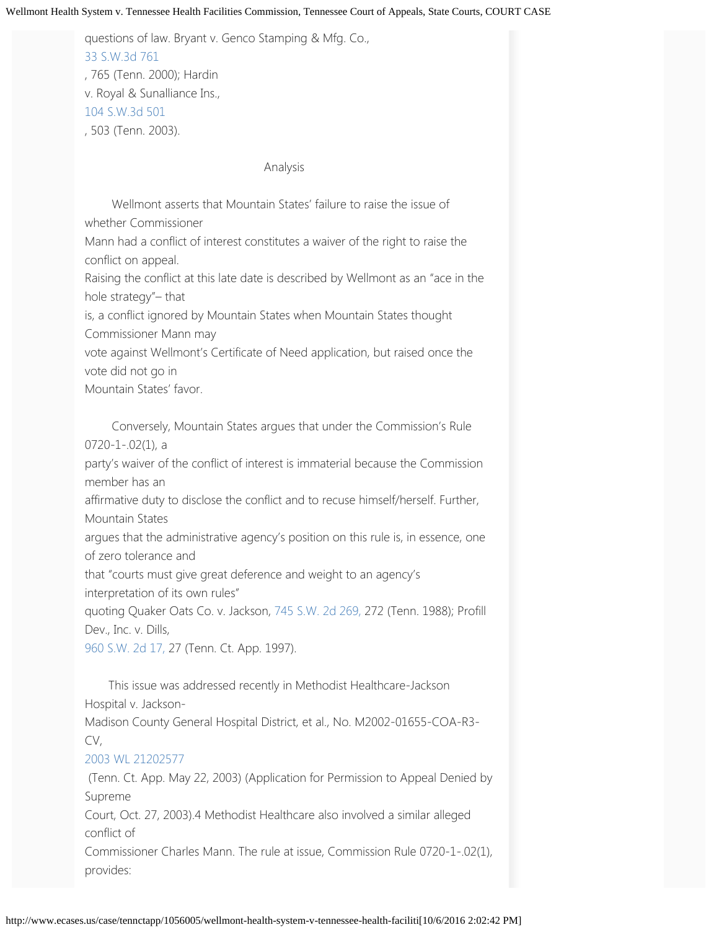questions of law. Bryant v. Genco Stamping & Mfg. Co., [33](http://www.ecases.us/tenn/6rfU/bryant-v-genco-stamping-mfg-co-inc/) [S.W.3d](http://www.ecases.us/tenn/6rfU/bryant-v-genco-stamping-mfg-co-inc/) [761](http://www.ecases.us/tenn/6rfU/bryant-v-genco-stamping-mfg-co-inc/) , 765 (Tenn. 2000); Hardin v. Royal & Sunalliance Ins., [104](http://www.ecases.us/tenn/6rch/hardin-v-royal-sunalliance-ins/) [S.W.3d](http://www.ecases.us/tenn/6rch/hardin-v-royal-sunalliance-ins/) [501](http://www.ecases.us/tenn/6rch/hardin-v-royal-sunalliance-ins/) , 503 (Tenn. 2003).

#### Analysis

 Wellmont asserts that Mountain States' failure to raise the issue of whether Commissioner

Mann had a conflict of interest constitutes a waiver of the right to raise the conflict on appeal.

Raising the conflict at this late date is described by Wellmont as an "ace in the hole strategy"– that

is, a conflict ignored by Mountain States when Mountain States thought Commissioner Mann may

vote against Wellmont's Certificate of Need application, but raised once the vote did not go in

Mountain States' favor.

 Conversely, Mountain States argues that under the Commission's Rule 0720-1-.02(1), a party's waiver of the conflict of interest is immaterial because the Commission member has an affirmative duty to disclose the conflict and to recuse himself/herself. Further, Mountain States argues that the administrative agency's position on this rule is, in essence, one of zero tolerance and that "courts must give great deference and weight to an agency's interpretation of its own rules"

quoting Quaker Oats Co. v. Jackson, [745 S.W. 2d 269,](http://www.ecases.us/745S.W.2d269) 272 (Tenn. 1988); Profill Dev., Inc. v. Dills,

[960 S.W. 2d 17,](http://www.ecases.us/960S.W.2d17) 27 (Tenn. Ct. App. 1997).

 This issue was addressed recently in Methodist Healthcare-Jackson Hospital v. Jackson-Madison County General Hospital District, et al., No. M2002-01655-COA-R3- CV,

## [2003](http://www.ecases.us/2003WL21202577) [WL](http://www.ecases.us/2003WL21202577) [21202577](http://www.ecases.us/2003WL21202577)

 (Tenn. Ct. App. May 22, 2003) (Application for Permission to Appeal Denied by Supreme

Court, Oct. 27, 2003).4 Methodist Healthcare also involved a similar alleged conflict of

Commissioner Charles Mann. The rule at issue, Commission Rule 0720-1-.02(1), provides: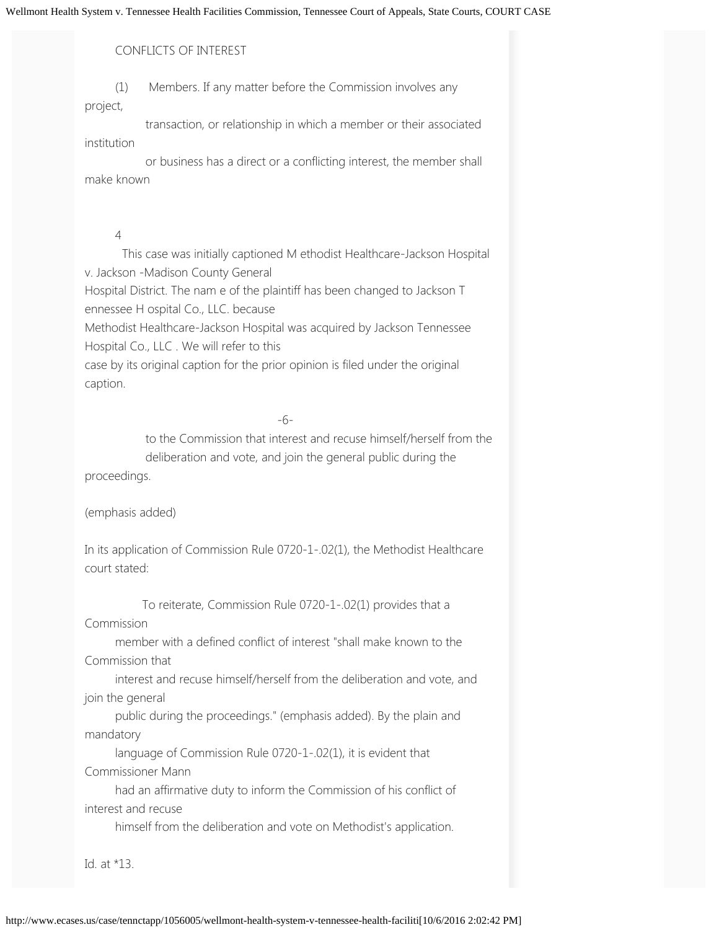#### CONFLICTS OF INTEREST

 (1) Members. If any matter before the Commission involves any project,

 transaction, or relationship in which a member or their associated institution

 or business has a direct or a conflicting interest, the member shall make known

#### 4

 This case was initially captioned M ethodist Healthcare-Jackson Hospital v. Jackson -Madison County General Hospital District. The nam e of the plaintiff has been changed to Jackson T ennessee H ospital Co., LLC. because Methodist Healthcare-Jackson Hospital was acquired by Jackson Tennessee Hospital Co., LLC . We will refer to this case by its original caption for the prior opinion is filed under the original caption.

-6-

 to the Commission that interest and recuse himself/herself from the deliberation and vote, and join the general public during the proceedings.

(emphasis added)

In its application of Commission Rule 0720-1-.02(1), the Methodist Healthcare court stated:

 To reiterate, Commission Rule 0720-1-.02(1) provides that a Commission

 member with a defined conflict of interest "shall make known to the Commission that

 interest and recuse himself/herself from the deliberation and vote, and join the general

 public during the proceedings." (emphasis added). By the plain and mandatory

 language of Commission Rule 0720-1-.02(1), it is evident that Commissioner Mann

 had an affirmative duty to inform the Commission of his conflict of interest and recuse

himself from the deliberation and vote on Methodist's application.

Id. at \*13.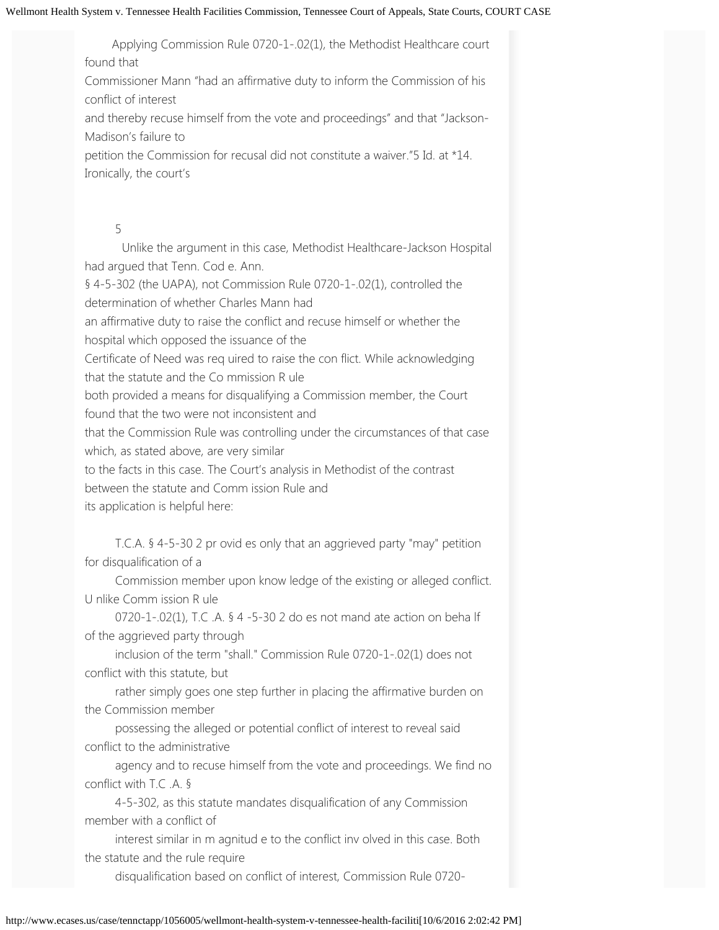Applying Commission Rule 0720-1-.02(1), the Methodist Healthcare court found that

Commissioner Mann "had an affirmative duty to inform the Commission of his conflict of interest

and thereby recuse himself from the vote and proceedings" and that "Jackson-Madison's failure to

petition the Commission for recusal did not constitute a waiver."5 Id. at \*14. Ironically, the court's

## 5

 Unlike the argument in this case, Methodist Healthcare-Jackson Hospital had argued that Tenn. Cod e. Ann. § 4-5-302 (the UAPA), not Commission Rule 0720-1-.02(1), controlled the determination of whether Charles Mann had an affirmative duty to raise the conflict and recuse himself or whether the hospital which opposed the issuance of the Certificate of Need was req uired to raise the con flict. While acknowledging that the statute and the Co mmission R ule both provided a means for disqualifying a Commission member, the Court found that the two were not inconsistent and that the Commission Rule was controlling under the circumstances of that case which, as stated above, are very similar to the facts in this case. The Court's analysis in Methodist of the contrast between the statute and Comm ission Rule and its application is helpful here:

 T.C.A. § 4-5-30 2 pr ovid es only that an aggrieved party "may" petition for disqualification of a

 Commission member upon know ledge of the existing or alleged conflict. U nlike Comm ission R ule

 0720-1-.02(1), T.C .A. § 4 -5-30 2 do es not mand ate action on beha lf of the aggrieved party through

 inclusion of the term "shall." Commission Rule 0720-1-.02(1) does not conflict with this statute, but

 rather simply goes one step further in placing the affirmative burden on the Commission member

 possessing the alleged or potential conflict of interest to reveal said conflict to the administrative

 agency and to recuse himself from the vote and proceedings. We find no conflict with T.C .A. §

 4-5-302, as this statute mandates disqualification of any Commission member with a conflict of

 interest similar in m agnitud e to the conflict inv olved in this case. Both the statute and the rule require

disqualification based on conflict of interest, Commission Rule 0720-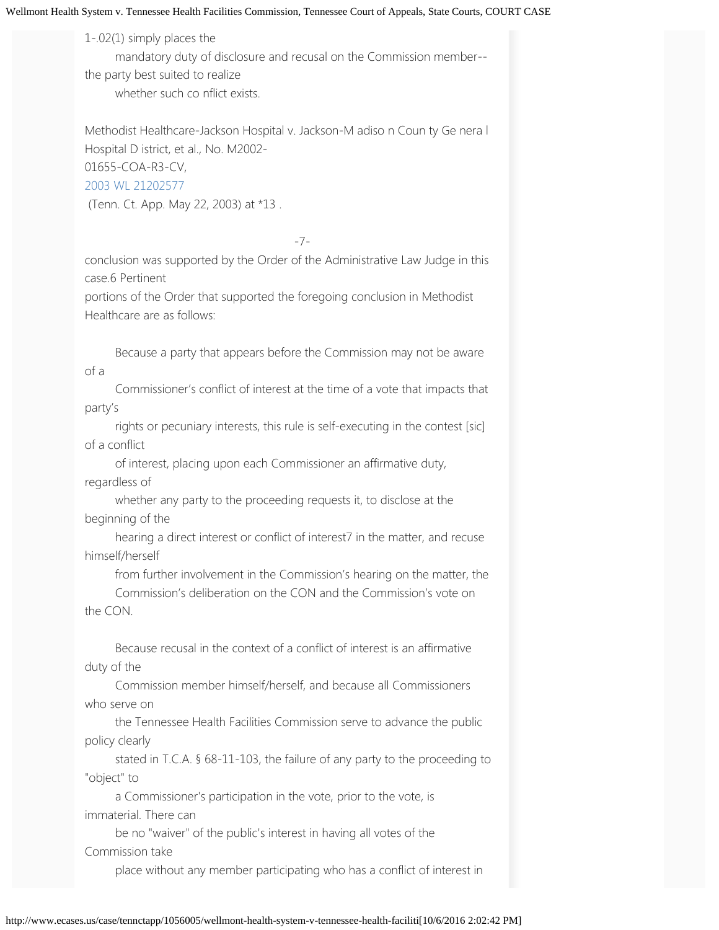1-.02(1) simply places the

mandatory duty of disclosure and recusal on the Commission member--

the party best suited to realize whether such co nflict exists.

Methodist Healthcare-Jackson Hospital v. Jackson-M adiso n Coun ty Ge nera l Hospital D istrict, et al., No. M2002- 01655-COA-R3-CV, [2003](http://www.ecases.us/2003WL21202577) [WL](http://www.ecases.us/2003WL21202577) [21202577](http://www.ecases.us/2003WL21202577)

(Tenn. Ct. App. May 22, 2003) at \*13 .

-7-

conclusion was supported by the Order of the Administrative Law Judge in this case.6 Pertinent

portions of the Order that supported the foregoing conclusion in Methodist Healthcare are as follows:

 Because a party that appears before the Commission may not be aware of a

 Commissioner's conflict of interest at the time of a vote that impacts that party's

 rights or pecuniary interests, this rule is self-executing in the contest [sic] of a conflict

 of interest, placing upon each Commissioner an affirmative duty, regardless of

 whether any party to the proceeding requests it, to disclose at the beginning of the

 hearing a direct interest or conflict of interest7 in the matter, and recuse himself/herself

 from further involvement in the Commission's hearing on the matter, the Commission's deliberation on the CON and the Commission's vote on

the CON.

 Because recusal in the context of a conflict of interest is an affirmative duty of the

 Commission member himself/herself, and because all Commissioners who serve on

 the Tennessee Health Facilities Commission serve to advance the public policy clearly

 stated in T.C.A. § 68-11-103, the failure of any party to the proceeding to "object" to

 a Commissioner's participation in the vote, prior to the vote, is immaterial. There can

 be no "waiver" of the public's interest in having all votes of the Commission take

place without any member participating who has a conflict of interest in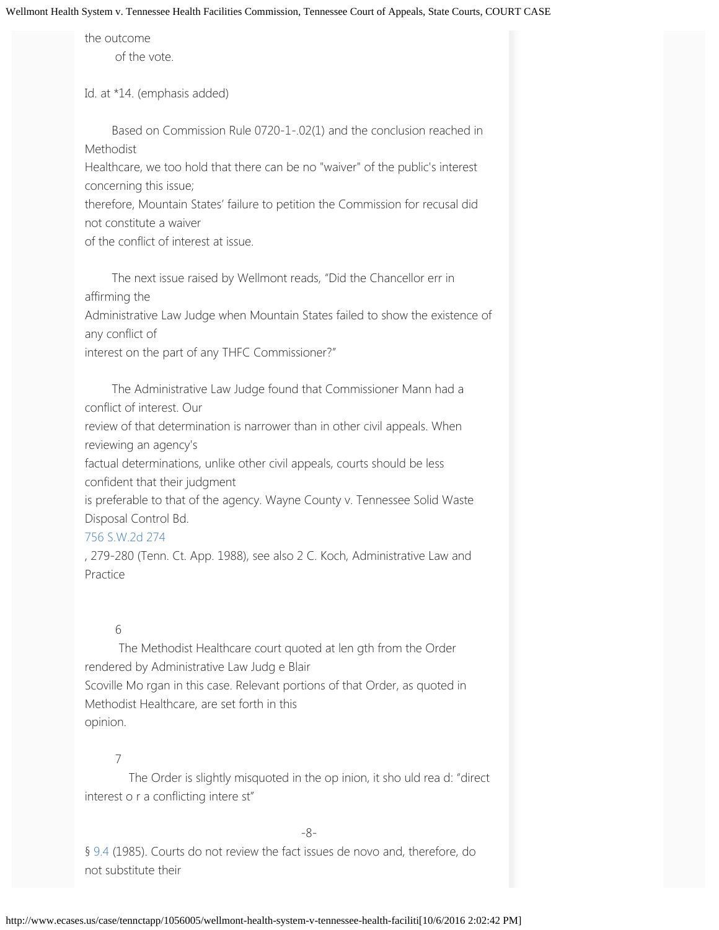the outcome of the vote.

Id. at \*14. (emphasis added)

 Based on Commission Rule 0720-1-.02(1) and the conclusion reached in Methodist

Healthcare, we too hold that there can be no "waiver" of the public's interest concerning this issue;

therefore, Mountain States' failure to petition the Commission for recusal did not constitute a waiver

of the conflict of interest at issue.

 The next issue raised by Wellmont reads, "Did the Chancellor err in affirming the Administrative Law Judge when Mountain States failed to show the existence of any conflict of interest on the part of any THFC Commissioner?"

 The Administrative Law Judge found that Commissioner Mann had a conflict of interest. Our review of that determination is narrower than in other civil appeals. When reviewing an agency's factual determinations, unlike other civil appeals, courts should be less confident that their judgment

is preferable to that of the agency. Wayne County v. Tennessee Solid Waste Disposal Control Bd.

## [756](http://www.ecases.us/tennctapp/a41v/wayne-cty-v-solid-waste-dis-cont-bd/) [S.W.2d](http://www.ecases.us/tennctapp/a41v/wayne-cty-v-solid-waste-dis-cont-bd/) [274](http://www.ecases.us/tennctapp/a41v/wayne-cty-v-solid-waste-dis-cont-bd/)

, 279-280 (Tenn. Ct. App. 1988), see also 2 C. Koch, Administrative Law and Practice

## 6

 The Methodist Healthcare court quoted at len gth from the Order rendered by Administrative Law Judg e Blair Scoville Mo rgan in this case. Relevant portions of that Order, as quoted in Methodist Healthcare, are set forth in this opinion.

## 7

 The Order is slightly misquoted in the op inion, it sho uld rea d: "direct interest o r a conflicting intere st"

-8-

§ [9.4 \(](http://www.ecases.us/citeit/statutes/9.4)1985). Courts do not review the fact issues de novo and, therefore, do not substitute their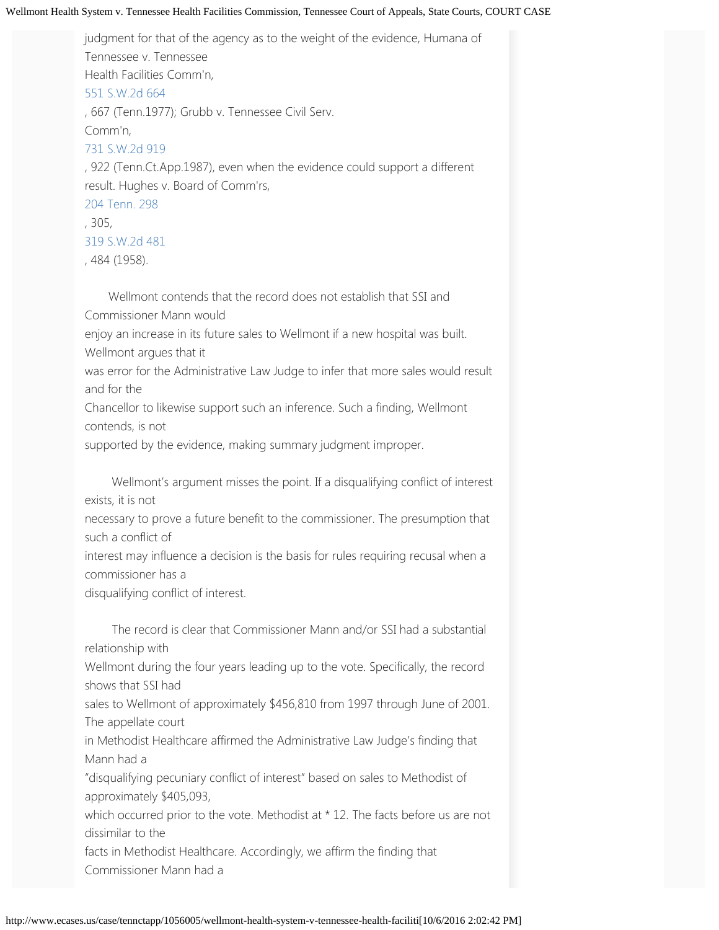judgment for that of the agency as to the weight of the evidence, Humana of Tennessee v. Tennessee Health Facilities Comm'n, [551](http://www.ecases.us/tenn/a9F4/humana-of-tenn-v-tenn-health-facilities-comm/) [S.W.2d](http://www.ecases.us/tenn/a9F4/humana-of-tenn-v-tenn-health-facilities-comm/) [664](http://www.ecases.us/tenn/a9F4/humana-of-tenn-v-tenn-health-facilities-comm/) , 667 (Tenn.1977); Grubb v. Tennessee Civil Serv. Comm'n, [731](http://www.ecases.us/731S.W.2d919) [S.W.2d](http://www.ecases.us/731S.W.2d919) [919](http://www.ecases.us/731S.W.2d919) , 922 (Tenn.Ct.App.1987), even when the evidence could support a different result. Hughes v. Board of Comm'rs, [204](http://www.ecases.us/204Tenn.298) [Tenn.](http://www.ecases.us/204Tenn.298) [298](http://www.ecases.us/204Tenn.298) , 305, [319](http://www.ecases.us/tenn/9PeT/hughes-v-board-of-comrs-of-city-of-chattanooga/) [S.W.2d](http://www.ecases.us/tenn/9PeT/hughes-v-board-of-comrs-of-city-of-chattanooga/) [481](http://www.ecases.us/tenn/9PeT/hughes-v-board-of-comrs-of-city-of-chattanooga/) , 484 (1958).

 Wellmont contends that the record does not establish that SSI and Commissioner Mann would enjoy an increase in its future sales to Wellmont if a new hospital was built. Wellmont argues that it was error for the Administrative Law Judge to infer that more sales would result and for the Chancellor to likewise support such an inference. Such a finding, Wellmont contends, is not

supported by the evidence, making summary judgment improper.

 Wellmont's argument misses the point. If a disqualifying conflict of interest exists, it is not

necessary to prove a future benefit to the commissioner. The presumption that such a conflict of

interest may influence a decision is the basis for rules requiring recusal when a commissioner has a

disqualifying conflict of interest.

 The record is clear that Commissioner Mann and/or SSI had a substantial relationship with

Wellmont during the four years leading up to the vote. Specifically, the record shows that SSI had

sales to Wellmont of approximately \$456,810 from 1997 through June of 2001. The appellate court

in Methodist Healthcare affirmed the Administrative Law Judge's finding that Mann had a

"disqualifying pecuniary conflict of interest" based on sales to Methodist of approximately \$405,093,

which occurred prior to the vote. Methodist at \* 12. The facts before us are not dissimilar to the

facts in Methodist Healthcare. Accordingly, we affirm the finding that Commissioner Mann had a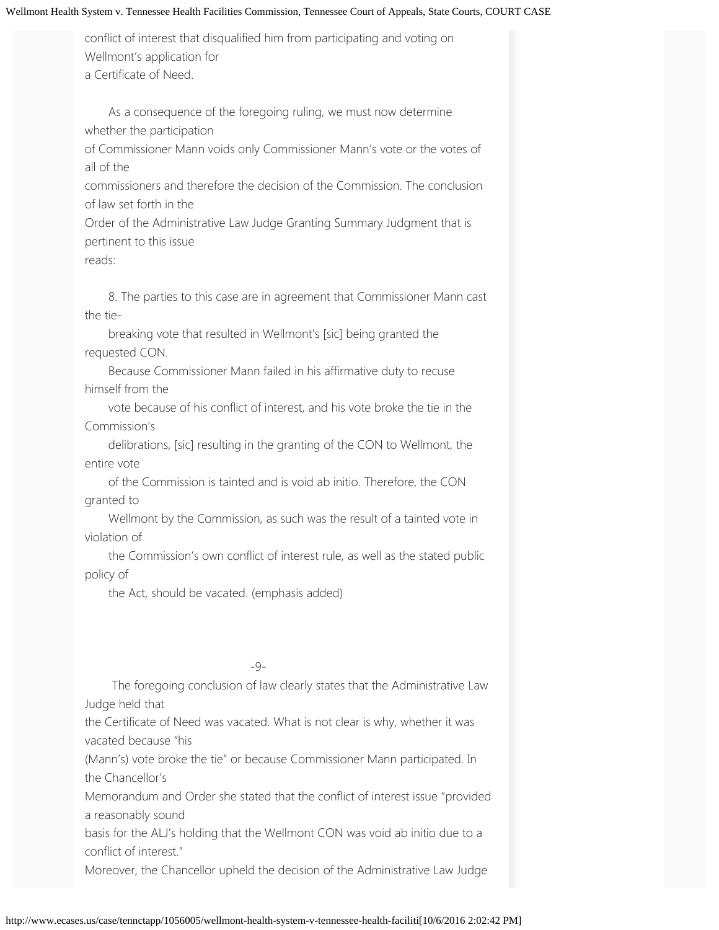conflict of interest that disqualified him from participating and voting on Wellmont's application for a Certificate of Need.

 As a consequence of the foregoing ruling, we must now determine whether the participation

of Commissioner Mann voids only Commissioner Mann's vote or the votes of all of the

commissioners and therefore the decision of the Commission. The conclusion of law set forth in the

Order of the Administrative Law Judge Granting Summary Judgment that is pertinent to this issue

reads:

 8. The parties to this case are in agreement that Commissioner Mann cast the tie-

 breaking vote that resulted in Wellmont's [sic] being granted the requested CON.

 Because Commissioner Mann failed in his affirmative duty to recuse himself from the

 vote because of his conflict of interest, and his vote broke the tie in the Commission's

 delibrations, [sic] resulting in the granting of the CON to Wellmont, the entire vote

 of the Commission is tainted and is void ab initio. Therefore, the CON granted to

 Wellmont by the Commission, as such was the result of a tainted vote in violation of

 the Commission's own conflict of interest rule, as well as the stated public policy of

the Act, should be vacated. (emphasis added)

## -9-

 The foregoing conclusion of law clearly states that the Administrative Law Judge held that

the Certificate of Need was vacated. What is not clear is why, whether it was vacated because "his

(Mann's) vote broke the tie" or because Commissioner Mann participated. In the Chancellor's

Memorandum and Order she stated that the conflict of interest issue "provided a reasonably sound

basis for the ALJ's holding that the Wellmont CON was void ab initio due to a conflict of interest."

Moreover, the Chancellor upheld the decision of the Administrative Law Judge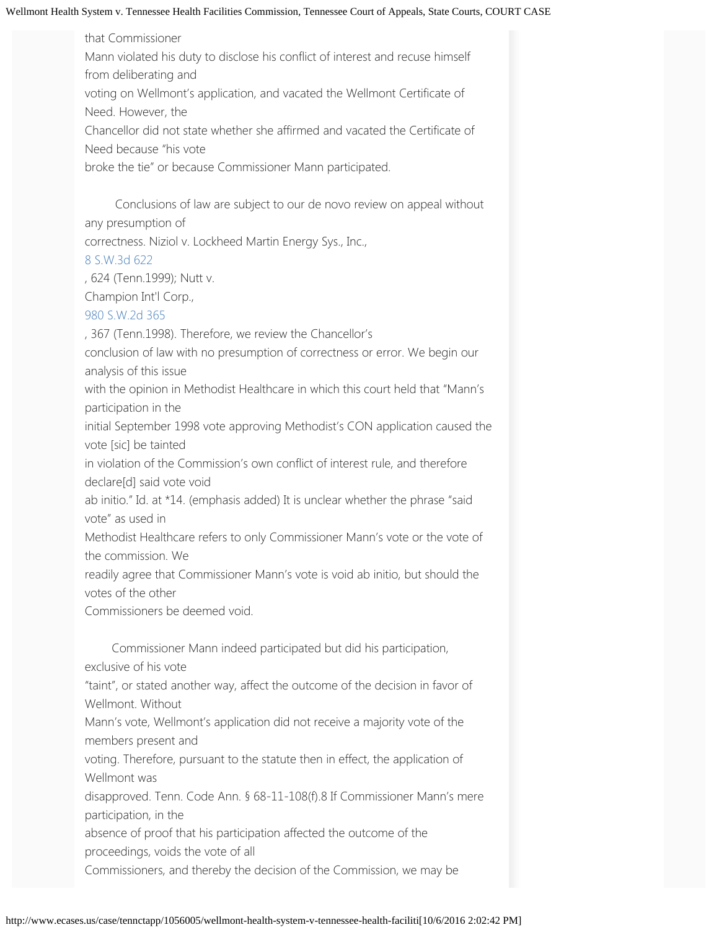that Commissioner Mann violated his duty to disclose his conflict of interest and recuse himself from deliberating and voting on Wellmont's application, and vacated the Wellmont Certificate of Need. However, the Chancellor did not state whether she affirmed and vacated the Certificate of Need because "his vote broke the tie" or because Commissioner Mann participated.

 Conclusions of law are subject to our de novo review on appeal without any presumption of

correctness. Niziol v. Lockheed Martin Energy Sys., Inc.,

## [8](http://www.ecases.us/tenn/awRZ/niziol-v-lockheed-martin-energy-systems/) [S.W.3d](http://www.ecases.us/tenn/awRZ/niziol-v-lockheed-martin-energy-systems/) [622](http://www.ecases.us/tenn/awRZ/niziol-v-lockheed-martin-energy-systems/)

, 624 (Tenn.1999); Nutt v.

Champion Int'l Corp.,

[980](http://www.ecases.us/tenn/6rkw/nutt-v-champion-intern-corp/) [S.W.2d](http://www.ecases.us/tenn/6rkw/nutt-v-champion-intern-corp/) [365](http://www.ecases.us/tenn/6rkw/nutt-v-champion-intern-corp/)

, 367 (Tenn.1998). Therefore, we review the Chancellor's

conclusion of law with no presumption of correctness or error. We begin our analysis of this issue

with the opinion in Methodist Healthcare in which this court held that "Mann's participation in the

initial September 1998 vote approving Methodist's CON application caused the vote [sic] be tainted

in violation of the Commission's own conflict of interest rule, and therefore declare[d] said vote void

ab initio." Id. at \*14. (emphasis added) It is unclear whether the phrase "said vote" as used in

Methodist Healthcare refers to only Commissioner Mann's vote or the vote of the commission. We

readily agree that Commissioner Mann's vote is void ab initio, but should the votes of the other

Commissioners be deemed void.

 Commissioner Mann indeed participated but did his participation, exclusive of his vote

"taint", or stated another way, affect the outcome of the decision in favor of Wellmont. Without

Mann's vote, Wellmont's application did not receive a majority vote of the members present and

voting. Therefore, pursuant to the statute then in effect, the application of Wellmont was

disapproved. Tenn. Code Ann. § 68-11-108(f).8 If Commissioner Mann's mere participation, in the

absence of proof that his participation affected the outcome of the proceedings, voids the vote of all

Commissioners, and thereby the decision of the Commission, we may be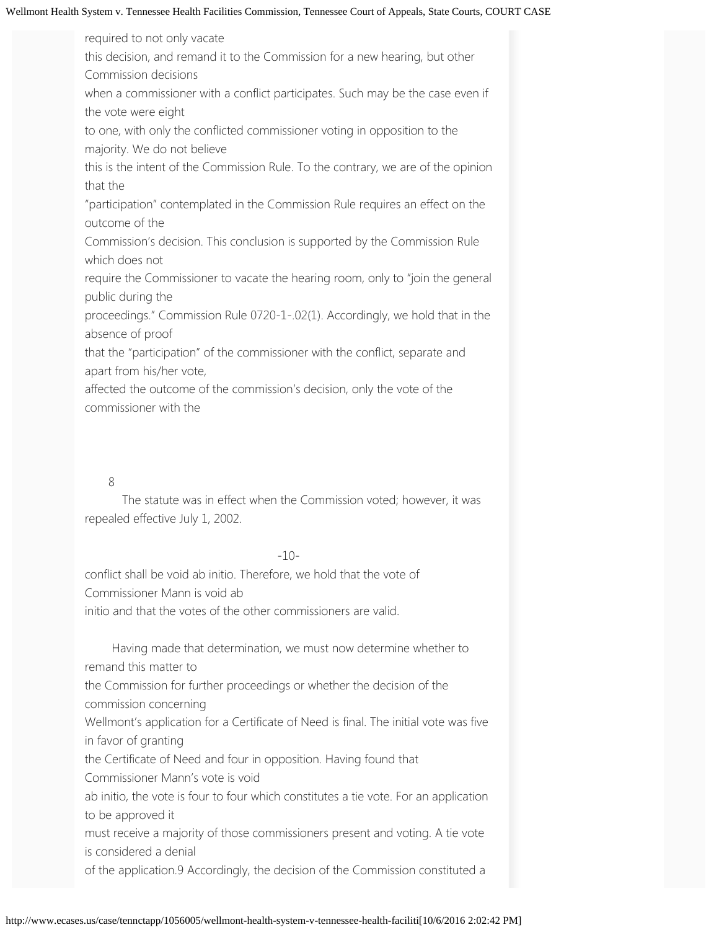required to not only vacate this decision, and remand it to the Commission for a new hearing, but other Commission decisions when a commissioner with a conflict participates. Such may be the case even if the vote were eight to one, with only the conflicted commissioner voting in opposition to the majority. We do not believe this is the intent of the Commission Rule. To the contrary, we are of the opinion that the "participation" contemplated in the Commission Rule requires an effect on the outcome of the Commission's decision. This conclusion is supported by the Commission Rule which does not require the Commissioner to vacate the hearing room, only to "join the general public during the proceedings." Commission Rule 0720-1-.02(1). Accordingly, we hold that in the absence of proof that the "participation" of the commissioner with the conflict, separate and apart from his/her vote, affected the outcome of the commission's decision, only the vote of the

commissioner with the

#### 8

 The statute was in effect when the Commission voted; however, it was repealed effective July 1, 2002.

#### -10-

conflict shall be void ab initio. Therefore, we hold that the vote of Commissioner Mann is void ab initio and that the votes of the other commissioners are valid.

 Having made that determination, we must now determine whether to remand this matter to the Commission for further proceedings or whether the decision of the commission concerning Wellmont's application for a Certificate of Need is final. The initial vote was five in favor of granting the Certificate of Need and four in opposition. Having found that Commissioner Mann's vote is void ab initio, the vote is four to four which constitutes a tie vote. For an application to be approved it must receive a majority of those commissioners present and voting. A tie vote is considered a denial

of the application.9 Accordingly, the decision of the Commission constituted a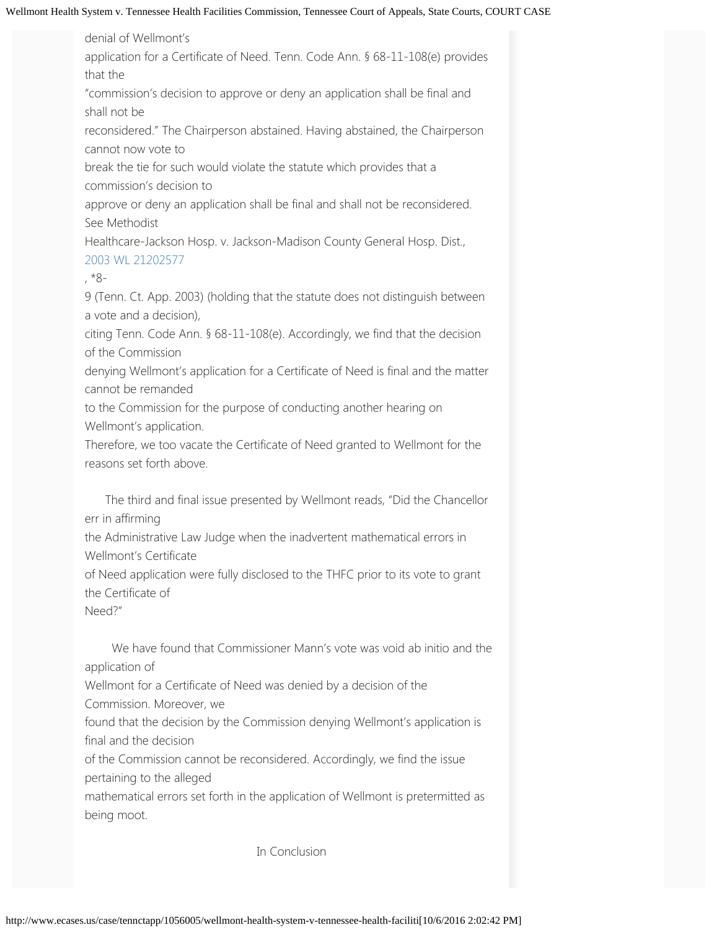denial of Wellmont's application for a Certificate of Need. Tenn. Code Ann. § 68-11-108(e) provides that the "commission's decision to approve or deny an application shall be final and shall not be reconsidered." The Chairperson abstained. Having abstained, the Chairperson cannot now vote to break the tie for such would violate the statute which provides that a commission's decision to approve or deny an application shall be final and shall not be reconsidered. See Methodist Healthcare-Jackson Hosp. v. Jackson-Madison County General Hosp. Dist., [2003](http://www.ecases.us/2003WL21202577) [WL](http://www.ecases.us/2003WL21202577) [21202577](http://www.ecases.us/2003WL21202577) , \*8- 9 (Tenn. Ct. App. 2003) (holding that the statute does not distinguish between a vote and a decision), citing Tenn. Code Ann. § 68-11-108(e). Accordingly, we find that the decision of the Commission denying Wellmont's application for a Certificate of Need is final and the matter cannot be remanded to the Commission for the purpose of conducting another hearing on Wellmont's application. Therefore, we too vacate the Certificate of Need granted to Wellmont for the reasons set forth above.

 The third and final issue presented by Wellmont reads, "Did the Chancellor err in affirming

the Administrative Law Judge when the inadvertent mathematical errors in Wellmont's Certificate

of Need application were fully disclosed to the THFC prior to its vote to grant the Certificate of

Need?"

 We have found that Commissioner Mann's vote was void ab initio and the application of

Wellmont for a Certificate of Need was denied by a decision of the

Commission. Moreover, we

found that the decision by the Commission denying Wellmont's application is final and the decision

of the Commission cannot be reconsidered. Accordingly, we find the issue pertaining to the alleged

mathematical errors set forth in the application of Wellmont is pretermitted as being moot.

In Conclusion